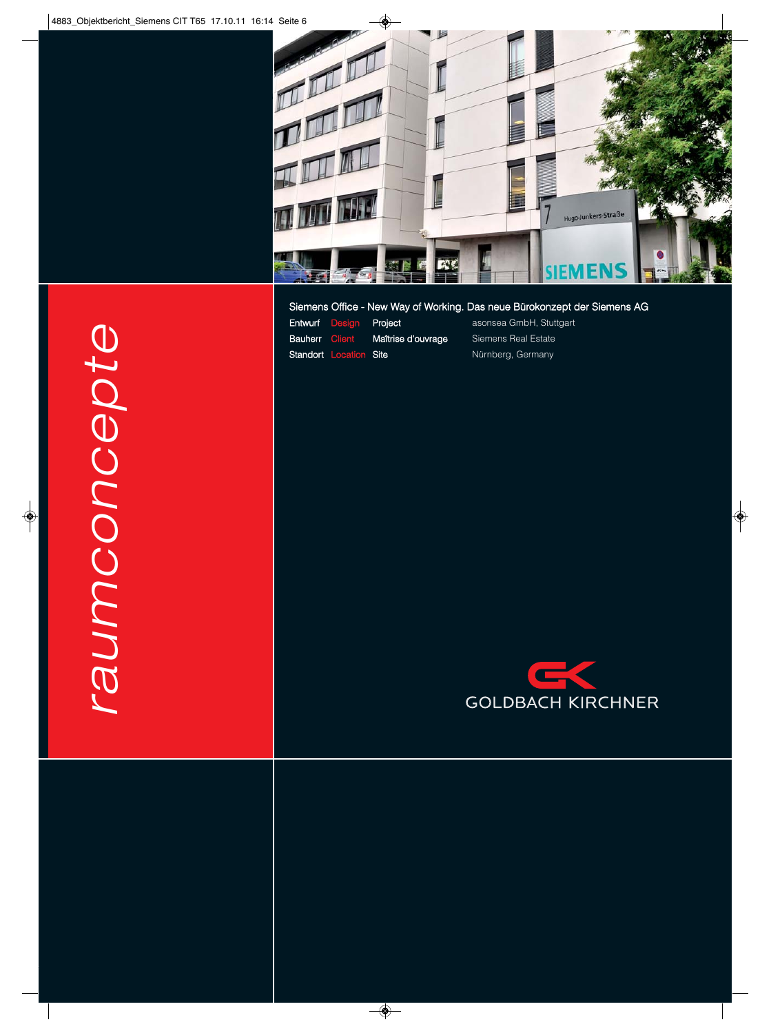

### Siemens Office - New Way of Working. Das neue Bürokonzept der Siemens AG

Entwurf Design Project asonsea GmbH, Stuttgart Bauherr Client Maîtrise d'ouvrage Siemens Real Estate Standort Location Site Nürnberg, Germany



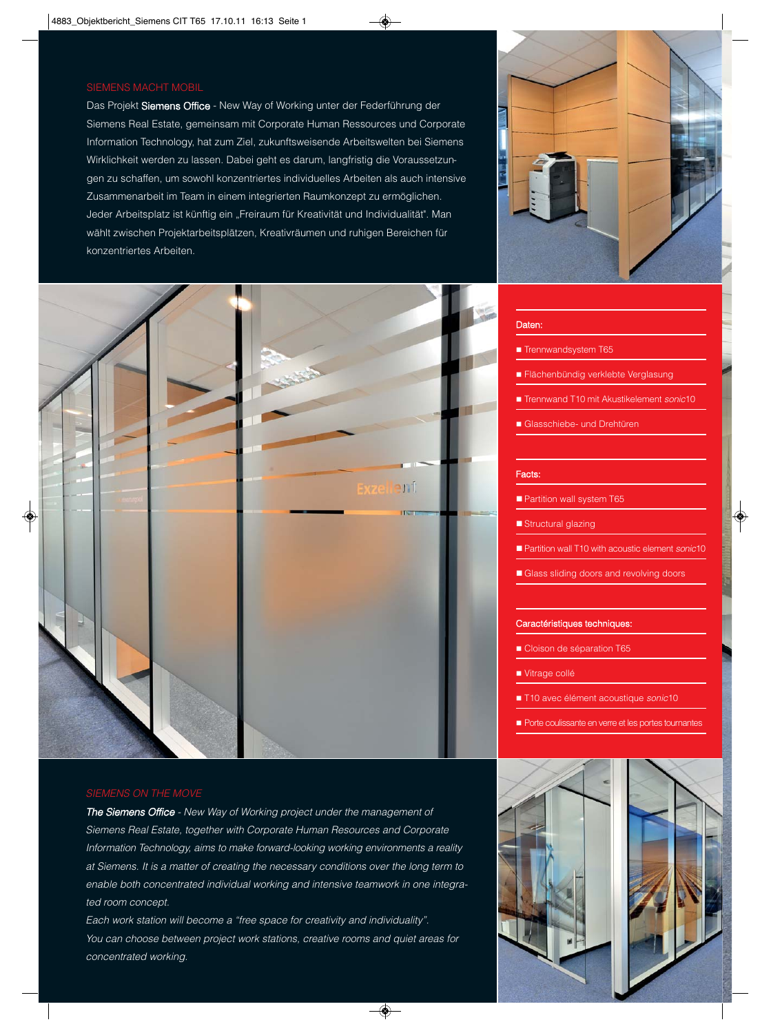### SIEMENS MACHT MOBIL

Das Projekt Siemens Office - New Way of Working unter der Federführung der Siemens Real Estate, gemeinsam mit Corporate Human Ressources und Corporate Information Technology, hat zum Ziel, zukunftsweisende Arbeitswelten bei Siemens Wirklichkeit werden zu lassen. Dabei geht es darum, langfristig die Voraussetzungen zu schaffen, um sowohl konzentriertes individuelles Arbeiten als auch intensive Zusammenarbeit im Team in einem integrierten Raumkonzept zu ermöglichen. Jeder Arbeitsplatz ist künftig ein "Freiraum für Kreativität und Individualität". Man wählt zwischen Projektarbeitsplätzen, Kreativräumen und ruhigen Bereichen für konzentriertes Arbeiten.





#### SIEMENS ON THE MOVE

The Siemens Office - New Way of Working project under the management of Siemens Real Estate, together with Corporate Human Resources and Corporate Information Technology, aims to make forward-looking working environments a reality at Siemens. It is a matter of creating the necessary conditions over the long term to enable both concentrated individual working and intensive teamwork in one integrated room concept.

Each work station will become a "free space for creativity and individuality". You can choose between project work stations, creative rooms and quiet areas for concentrated working.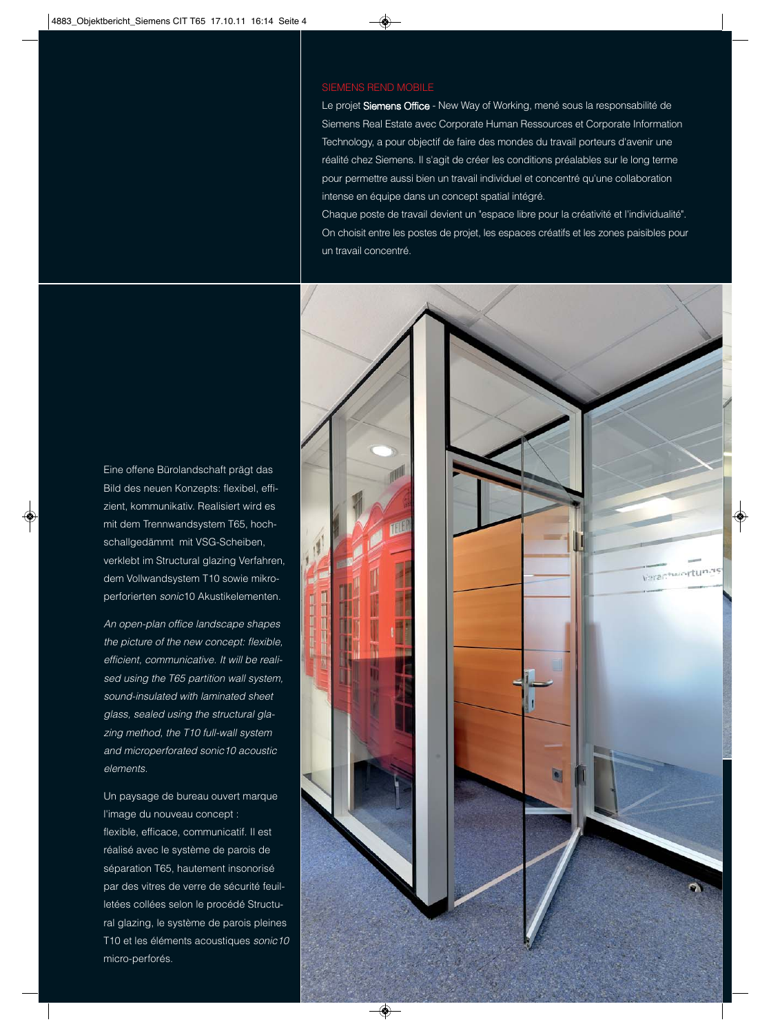### SIEMENS REND MOBILE

Le projet Siemens Office - New Way of Working, mené sous la responsabilité de Siemens Real Estate avec Corporate Human Ressources et Corporate Information Technology, a pour objectif de faire des mondes du travail porteurs d'avenir une réalité chez Siemens. Il s'agit de créer les conditions préalables sur le long terme pour permettre aussi bien un travail individuel et concentré qu'une collaboration intense en équipe dans un concept spatial intégré.

Chaque poste de travail devient un "espace libre pour la créativité et l'individualité". On choisit entre les postes de projet, les espaces créatifs et les zones paisibles pour un travail concentré.



Eine offene Bürolandschaft prägt das Bild des neuen Konzepts: flexibel, effizient, kommunikativ. Realisiert wird es mit dem Trennwandsystem T65, hochschallgedämmt mit VSG-Scheiben, verklebt im Structural glazing Verfahren, dem Vollwandsystem T10 sowie mikroperforierten sonic10 Akustikelementen.

An open-plan office landscape shapes the picture of the new concept: flexible, efficient, communicative. It will be realised using the T65 partition wall system, sound-insulated with laminated sheet glass, sealed using the structural glazing method, the T10 full-wall system and microperforated sonic10 acoustic elements.

Un paysage de bureau ouvert marque l'image du nouveau concept : flexible, efficace, communicatif. Il est réalisé avec le système de parois de séparation T65, hautement insonorisé par des vitres de verre de sécurité feuilletées collées selon le procédé Structural glazing, le système de parois pleines T10 et les éléments acoustiques sonic10 micro-perforés.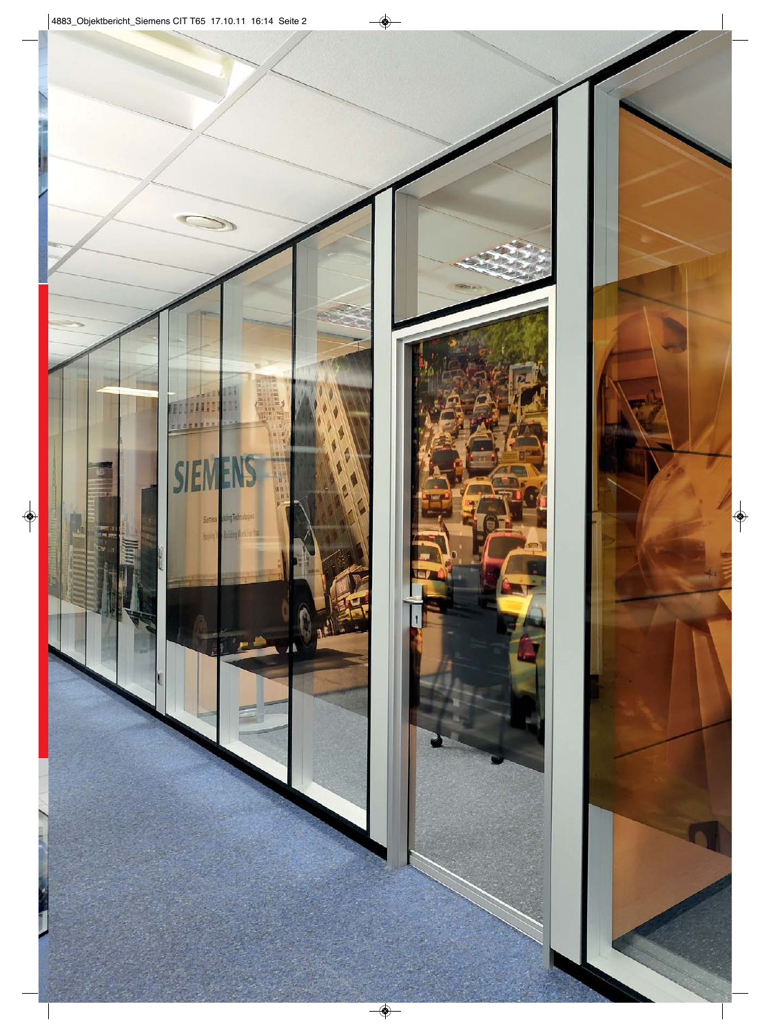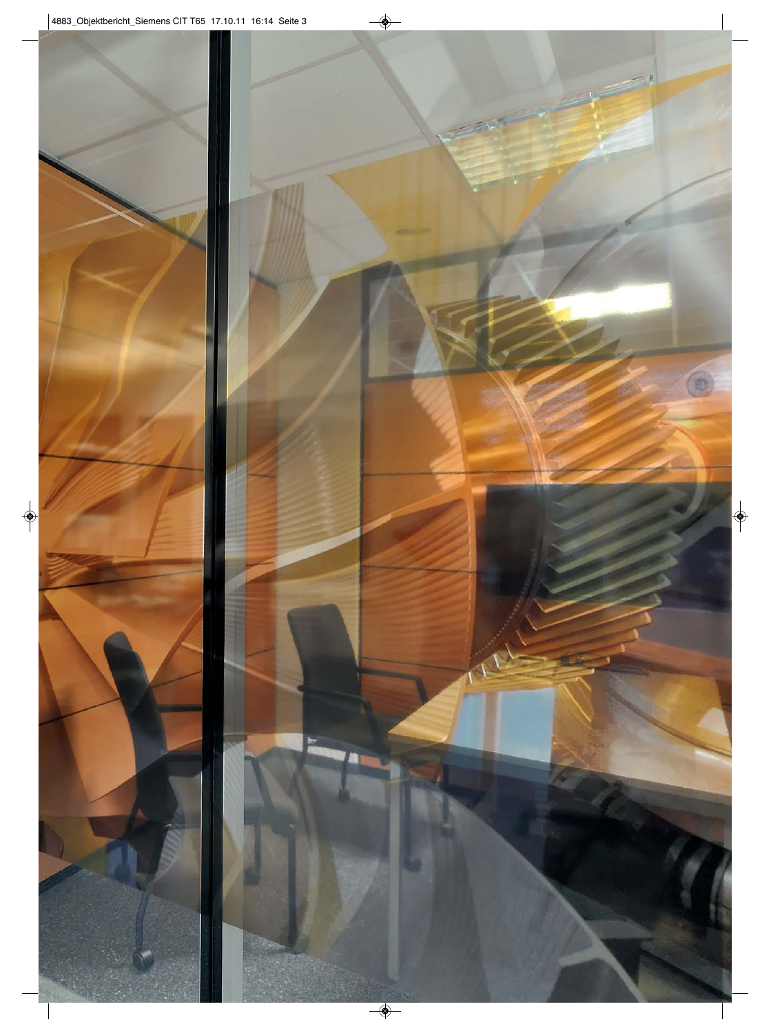